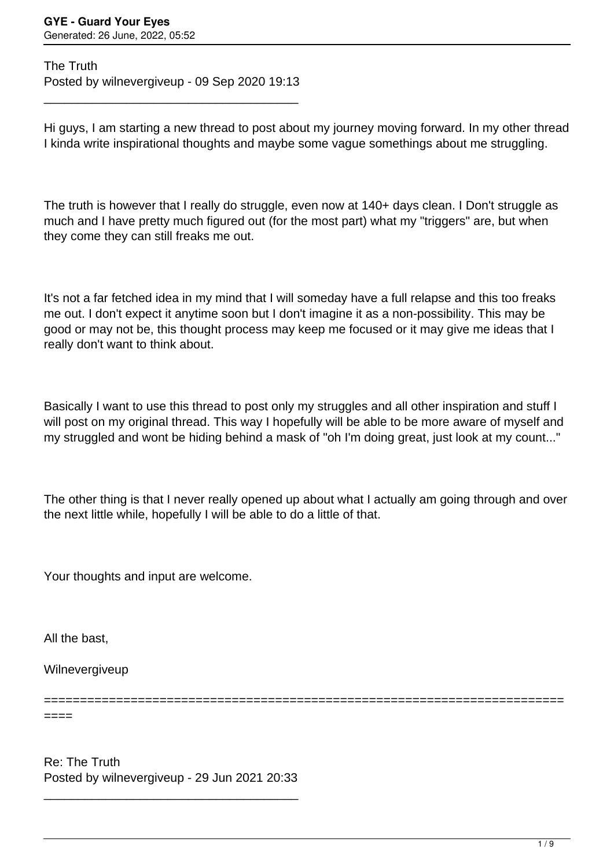The Truth Posted by wilnevergiveup - 09 Sep 2020 19:13

\_\_\_\_\_\_\_\_\_\_\_\_\_\_\_\_\_\_\_\_\_\_\_\_\_\_\_\_\_\_\_\_\_\_\_\_\_

Hi guys, I am starting a new thread to post about my journey moving forward. In my other thread I kinda write inspirational thoughts and maybe some vague somethings about me struggling.

The truth is however that I really do struggle, even now at 140+ days clean. I Don't struggle as much and I have pretty much figured out (for the most part) what my "triggers" are, but when they come they can still freaks me out.

It's not a far fetched idea in my mind that I will someday have a full relapse and this too freaks me out. I don't expect it anytime soon but I don't imagine it as a non-possibility. This may be good or may not be, this thought process may keep me focused or it may give me ideas that I really don't want to think about.

Basically I want to use this thread to post only my struggles and all other inspiration and stuff I will post on my original thread. This way I hopefully will be able to be more aware of myself and my struggled and wont be hiding behind a mask of "oh I'm doing great, just look at my count..."

The other thing is that I never really opened up about what I actually am going through and over the next little while, hopefully I will be able to do a little of that.

Your thoughts and input are welcome.

All the bast,

====

Wilnevergiveup

========================================================================

Re: The Truth Posted by wilnevergiveup - 29 Jun 2021 20:33

\_\_\_\_\_\_\_\_\_\_\_\_\_\_\_\_\_\_\_\_\_\_\_\_\_\_\_\_\_\_\_\_\_\_\_\_\_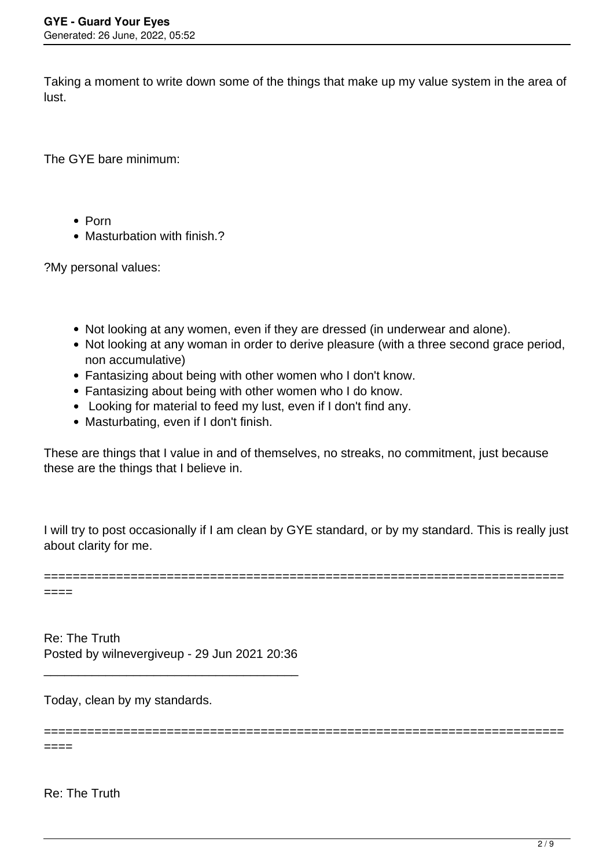Taking a moment to write down some of the things that make up my value system in the area of lust.

The GYE bare minimum:

- Porn
- Masturbation with finish.?

?My personal values:

- Not looking at any women, even if they are dressed (in underwear and alone).
- Not looking at any woman in order to derive pleasure (with a three second grace period, non accumulative)
- Fantasizing about being with other women who I don't know.
- Fantasizing about being with other women who I do know.
- Looking for material to feed my lust, even if I don't find any.
- Masturbating, even if I don't finish.

These are things that I value in and of themselves, no streaks, no commitment, just because these are the things that I believe in.

I will try to post occasionally if I am clean by GYE standard, or by my standard. This is really just about clarity for me.

========================================================================

========================================================================

 $====$ 

Re: The Truth Posted by wilnevergiveup - 29 Jun 2021 20:36

\_\_\_\_\_\_\_\_\_\_\_\_\_\_\_\_\_\_\_\_\_\_\_\_\_\_\_\_\_\_\_\_\_\_\_\_\_

Today, clean by my standards.

 $====$ 

Re: The Truth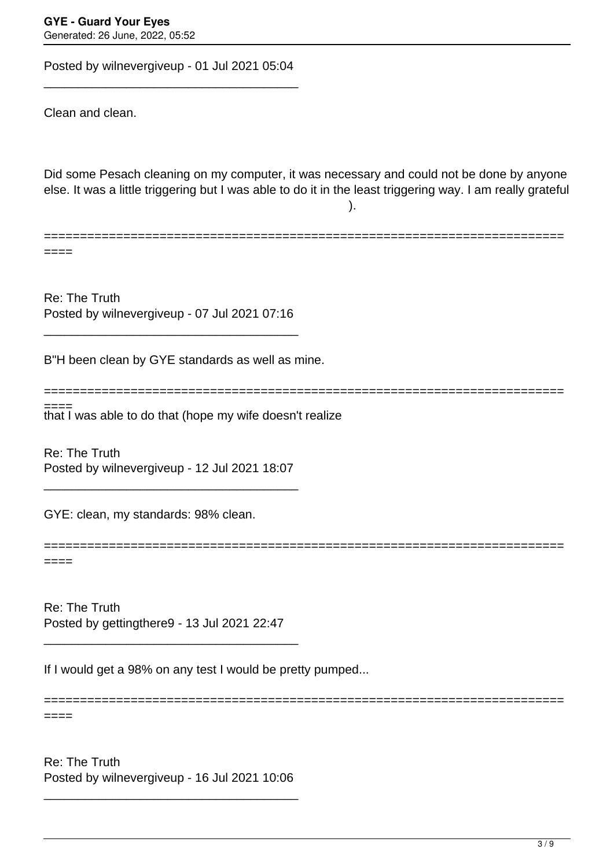Posted by wilnevergiveup - 01 Jul 2021 05:04

\_\_\_\_\_\_\_\_\_\_\_\_\_\_\_\_\_\_\_\_\_\_\_\_\_\_\_\_\_\_\_\_\_\_\_\_\_

Clean and clean.

Did some Pesach cleaning on my computer, it was necessary and could not be done by anyone else. It was a little triggering but I was able to do it in the least triggering way. I am really grateful ).

========================================================================

========================================================================

====

Re: The Truth Posted by wilnevergiveup - 07 Jul 2021 07:16

\_\_\_\_\_\_\_\_\_\_\_\_\_\_\_\_\_\_\_\_\_\_\_\_\_\_\_\_\_\_\_\_\_\_\_\_\_

B"H been clean by GYE standards as well as mine.

that I was able to do that (hope my wife doesn't realize ====

Re: The Truth Posted by wilnevergiveup - 12 Jul 2021 18:07

\_\_\_\_\_\_\_\_\_\_\_\_\_\_\_\_\_\_\_\_\_\_\_\_\_\_\_\_\_\_\_\_\_\_\_\_\_

GYE: clean, my standards: 98% clean.

======================================================================== ====

Re: The Truth Posted by gettingthere9 - 13 Jul 2021 22:47

\_\_\_\_\_\_\_\_\_\_\_\_\_\_\_\_\_\_\_\_\_\_\_\_\_\_\_\_\_\_\_\_\_\_\_\_\_

If I would get a 98% on any test I would be pretty pumped...

======================================================================== ====

Re: The Truth Posted by wilnevergiveup - 16 Jul 2021 10:06

\_\_\_\_\_\_\_\_\_\_\_\_\_\_\_\_\_\_\_\_\_\_\_\_\_\_\_\_\_\_\_\_\_\_\_\_\_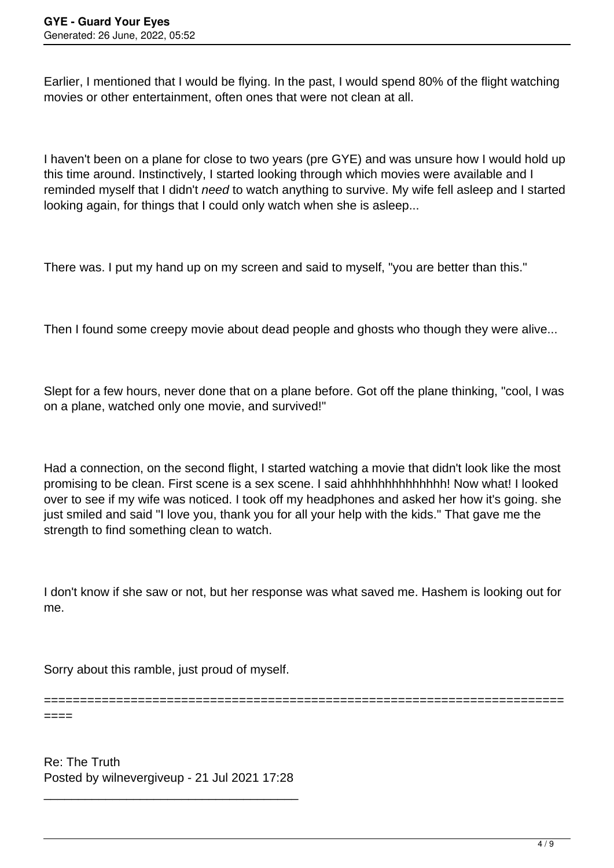Earlier, I mentioned that I would be flying. In the past, I would spend 80% of the flight watching movies or other entertainment, often ones that were not clean at all.

I haven't been on a plane for close to two years (pre GYE) and was unsure how I would hold up this time around. Instinctively, I started looking through which movies were available and I reminded myself that I didn't *need* to watch anything to survive. My wife fell asleep and I started looking again, for things that I could only watch when she is asleep...

There was. I put my hand up on my screen and said to myself, "you are better than this."

Then I found some creepy movie about dead people and ghosts who though they were alive...

Slept for a few hours, never done that on a plane before. Got off the plane thinking, "cool, I was on a plane, watched only one movie, and survived!"

Had a connection, on the second flight, I started watching a movie that didn't look like the most promising to be clean. First scene is a sex scene. I said ahhhhhhhhhhhhh! Now what! I looked over to see if my wife was noticed. I took off my headphones and asked her how it's going. she just smiled and said "I love you, thank you for all your help with the kids." That gave me the strength to find something clean to watch.

I don't know if she saw or not, but her response was what saved me. Hashem is looking out for me.

Sorry about this ramble, just proud of myself.

====

========================================================================

Re: The Truth Posted by wilnevergiveup - 21 Jul 2021 17:28

\_\_\_\_\_\_\_\_\_\_\_\_\_\_\_\_\_\_\_\_\_\_\_\_\_\_\_\_\_\_\_\_\_\_\_\_\_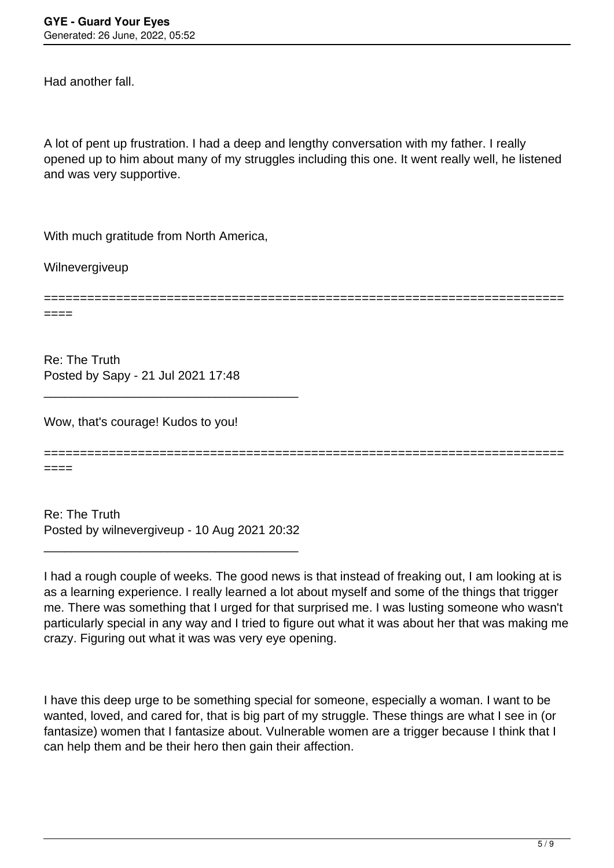Had another fall.

A lot of pent up frustration. I had a deep and lengthy conversation with my father. I really opened up to him about many of my struggles including this one. It went really well, he listened and was very supportive.

With much gratitude from North America,

Wilnevergiveup

========================================================================

Re: The Truth Posted by Sapy - 21 Jul 2021 17:48

Wow, that's courage! Kudos to you!

========================================================================

====

====

Re: The Truth Posted by wilnevergiveup - 10 Aug 2021 20:32

\_\_\_\_\_\_\_\_\_\_\_\_\_\_\_\_\_\_\_\_\_\_\_\_\_\_\_\_\_\_\_\_\_\_\_\_\_

\_\_\_\_\_\_\_\_\_\_\_\_\_\_\_\_\_\_\_\_\_\_\_\_\_\_\_\_\_\_\_\_\_\_\_\_\_

I had a rough couple of weeks. The good news is that instead of freaking out, I am looking at is as a learning experience. I really learned a lot about myself and some of the things that trigger me. There was something that I urged for that surprised me. I was lusting someone who wasn't particularly special in any way and I tried to figure out what it was about her that was making me crazy. Figuring out what it was was very eye opening.

I have this deep urge to be something special for someone, especially a woman. I want to be wanted, loved, and cared for, that is big part of my struggle. These things are what I see in (or fantasize) women that I fantasize about. Vulnerable women are a trigger because I think that I can help them and be their hero then gain their affection.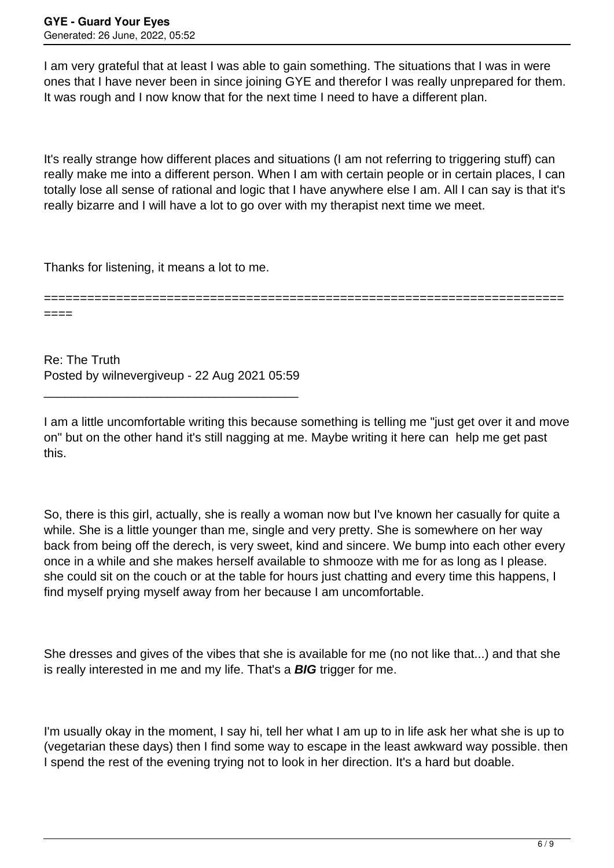I am very grateful that at least I was able to gain something. The situations that I was in were ones that I have never been in since joining GYE and therefor I was really unprepared for them. It was rough and I now know that for the next time I need to have a different plan.

It's really strange how different places and situations (I am not referring to triggering stuff) can really make me into a different person. When I am with certain people or in certain places, I can totally lose all sense of rational and logic that I have anywhere else I am. All I can say is that it's really bizarre and I will have a lot to go over with my therapist next time we meet.

Thanks for listening, it means a lot to me.

====

========================================================================

Re: The Truth Posted by wilnevergiveup - 22 Aug 2021 05:59

\_\_\_\_\_\_\_\_\_\_\_\_\_\_\_\_\_\_\_\_\_\_\_\_\_\_\_\_\_\_\_\_\_\_\_\_\_

I am a little uncomfortable writing this because something is telling me "just get over it and move on" but on the other hand it's still nagging at me. Maybe writing it here can help me get past this.

So, there is this girl, actually, she is really a woman now but I've known her casually for quite a while. She is a little younger than me, single and very pretty. She is somewhere on her way back from being off the derech, is very sweet, kind and sincere. We bump into each other every once in a while and she makes herself available to shmooze with me for as long as I please. she could sit on the couch or at the table for hours just chatting and every time this happens, I find myself prying myself away from her because I am uncomfortable.

She dresses and gives of the vibes that she is available for me (no not like that...) and that she is really interested in me and my life. That's a **BIG** trigger for me.

I'm usually okay in the moment, I say hi, tell her what I am up to in life ask her what she is up to (vegetarian these days) then I find some way to escape in the least awkward way possible. then I spend the rest of the evening trying not to look in her direction. It's a hard but doable.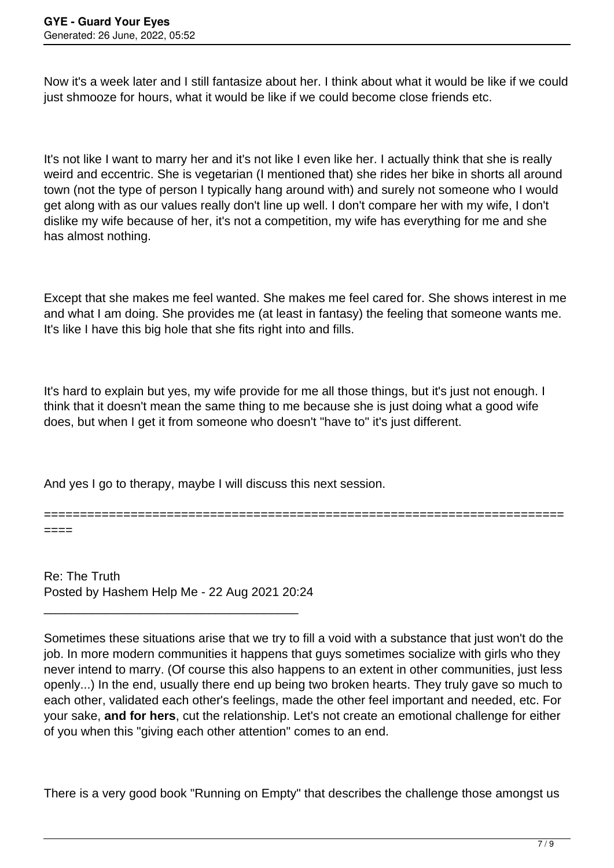Now it's a week later and I still fantasize about her. I think about what it would be like if we could just shmooze for hours, what it would be like if we could become close friends etc.

It's not like I want to marry her and it's not like I even like her. I actually think that she is really weird and eccentric. She is vegetarian (I mentioned that) she rides her bike in shorts all around town (not the type of person I typically hang around with) and surely not someone who I would get along with as our values really don't line up well. I don't compare her with my wife, I don't dislike my wife because of her, it's not a competition, my wife has everything for me and she has almost nothing.

Except that she makes me feel wanted. She makes me feel cared for. She shows interest in me and what I am doing. She provides me (at least in fantasy) the feeling that someone wants me. It's like I have this big hole that she fits right into and fills.

It's hard to explain but yes, my wife provide for me all those things, but it's just not enough. I think that it doesn't mean the same thing to me because she is just doing what a good wife does, but when I get it from someone who doesn't "have to" it's just different.

And yes I go to therapy, maybe I will discuss this next session.

========================================================================

Re: The Truth Posted by Hashem Help Me - 22 Aug 2021 20:24

\_\_\_\_\_\_\_\_\_\_\_\_\_\_\_\_\_\_\_\_\_\_\_\_\_\_\_\_\_\_\_\_\_\_\_\_\_

====

Sometimes these situations arise that we try to fill a void with a substance that just won't do the job. In more modern communities it happens that guys sometimes socialize with girls who they never intend to marry. (Of course this also happens to an extent in other communities, just less openly...) In the end, usually there end up being two broken hearts. They truly gave so much to each other, validated each other's feelings, made the other feel important and needed, etc. For your sake, **and for hers**, cut the relationship. Let's not create an emotional challenge for either of you when this "giving each other attention" comes to an end.

There is a very good book "Running on Empty" that describes the challenge those amongst us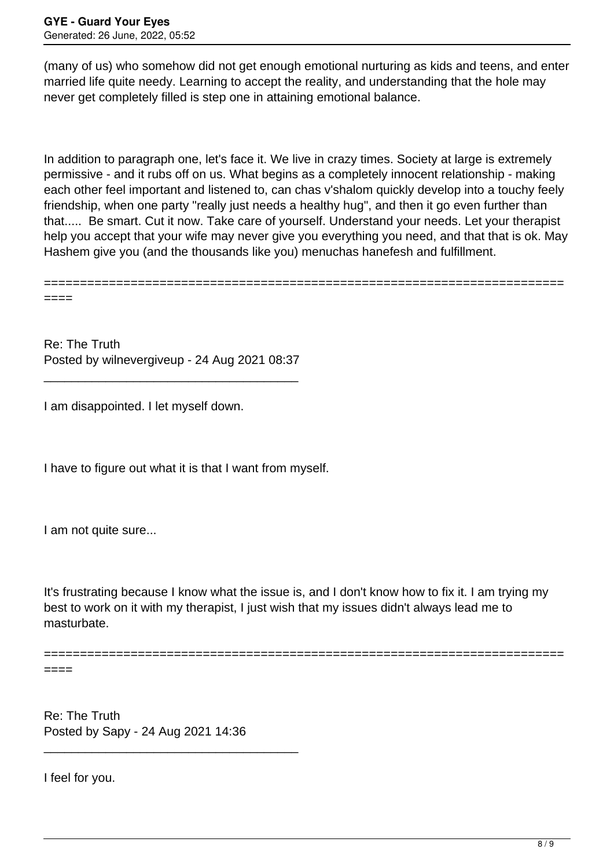(many of us) who somehow did not get enough emotional nurturing as kids and teens, and enter married life quite needy. Learning to accept the reality, and understanding that the hole may never get completely filled is step one in attaining emotional balance.

In addition to paragraph one, let's face it. We live in crazy times. Society at large is extremely permissive - and it rubs off on us. What begins as a completely innocent relationship - making each other feel important and listened to, can chas v'shalom quickly develop into a touchy feely friendship, when one party "really just needs a healthy hug", and then it go even further than that..... Be smart. Cut it now. Take care of yourself. Understand your needs. Let your therapist help you accept that your wife may never give you everything you need, and that that is ok. May Hashem give you (and the thousands like you) menuchas hanefesh and fulfillment.

======================================================================== ====

Re: The Truth Posted by wilnevergiveup - 24 Aug 2021 08:37

\_\_\_\_\_\_\_\_\_\_\_\_\_\_\_\_\_\_\_\_\_\_\_\_\_\_\_\_\_\_\_\_\_\_\_\_\_

I am disappointed. I let myself down.

I have to figure out what it is that I want from myself.

I am not quite sure...

It's frustrating because I know what the issue is, and I don't know how to fix it. I am trying my best to work on it with my therapist, I just wish that my issues didn't always lead me to masturbate.

========================================================================

====

Re: The Truth Posted by Sapy - 24 Aug 2021 14:36

\_\_\_\_\_\_\_\_\_\_\_\_\_\_\_\_\_\_\_\_\_\_\_\_\_\_\_\_\_\_\_\_\_\_\_\_\_

I feel for you.